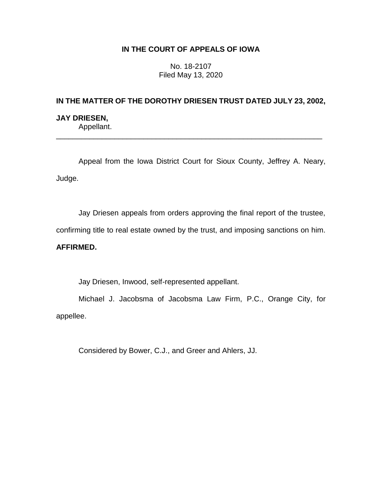## **IN THE COURT OF APPEALS OF IOWA**

No. 18-2107 Filed May 13, 2020

## **IN THE MATTER OF THE DOROTHY DRIESEN TRUST DATED JULY 23, 2002, JAY DRIESEN,**

Appellant. \_\_\_\_\_\_\_\_\_\_\_\_\_\_\_\_\_\_\_\_\_\_\_\_\_\_\_\_\_\_\_\_\_\_\_\_\_\_\_\_\_\_\_\_\_\_\_\_\_\_\_\_\_\_\_\_\_\_\_\_\_\_\_\_

Appeal from the Iowa District Court for Sioux County, Jeffrey A. Neary, Judge.

Jay Driesen appeals from orders approving the final report of the trustee,

confirming title to real estate owned by the trust, and imposing sanctions on him.

## **AFFIRMED.**

Jay Driesen, Inwood, self-represented appellant.

Michael J. Jacobsma of Jacobsma Law Firm, P.C., Orange City, for appellee.

Considered by Bower, C.J., and Greer and Ahlers, JJ.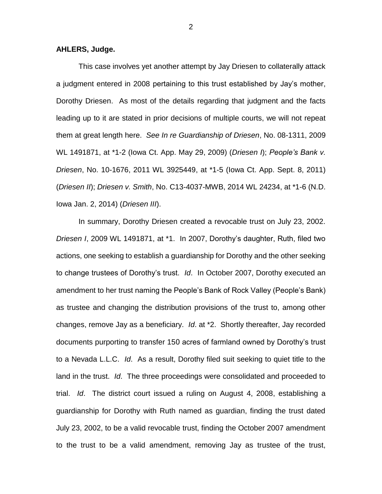**AHLERS, Judge.**

This case involves yet another attempt by Jay Driesen to collaterally attack a judgment entered in 2008 pertaining to this trust established by Jay's mother, Dorothy Driesen. As most of the details regarding that judgment and the facts leading up to it are stated in prior decisions of multiple courts, we will not repeat them at great length here. *See In re Guardianship of Driesen*, No. 08-1311, 2009 WL 1491871, at \*1-2 (Iowa Ct. App. May 29, 2009) (*Driesen I*); *People's Bank v. Driesen*, No. 10-1676, 2011 WL 3925449, at \*1-5 (Iowa Ct. App. Sept. 8, 2011) (*Driesen II*); *Driesen v. Smith*, No. C13-4037-MWB, 2014 WL 24234, at \*1-6 (N.D. Iowa Jan. 2, 2014) (*Driesen III*).

In summary, Dorothy Driesen created a revocable trust on July 23, 2002. *Driesen I*, 2009 WL 1491871, at \*1. In 2007, Dorothy's daughter, Ruth, filed two actions, one seeking to establish a guardianship for Dorothy and the other seeking to change trustees of Dorothy's trust. *Id*. In October 2007, Dorothy executed an amendment to her trust naming the People's Bank of Rock Valley (People's Bank) as trustee and changing the distribution provisions of the trust to, among other changes, remove Jay as a beneficiary. *Id*. at \*2. Shortly thereafter, Jay recorded documents purporting to transfer 150 acres of farmland owned by Dorothy's trust to a Nevada L.L.C. *Id*. As a result, Dorothy filed suit seeking to quiet title to the land in the trust. *Id*. The three proceedings were consolidated and proceeded to trial. *Id*. The district court issued a ruling on August 4, 2008, establishing a guardianship for Dorothy with Ruth named as guardian, finding the trust dated July 23, 2002, to be a valid revocable trust, finding the October 2007 amendment to the trust to be a valid amendment, removing Jay as trustee of the trust,

2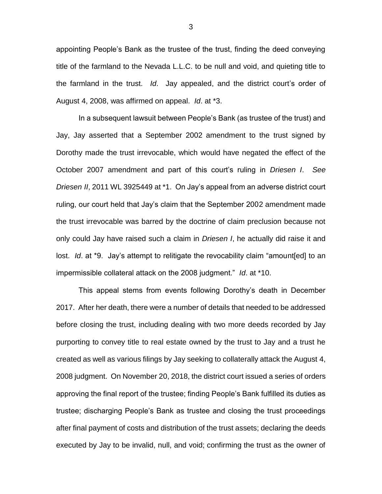appointing People's Bank as the trustee of the trust, finding the deed conveying title of the farmland to the Nevada L.L.C. to be null and void, and quieting title to the farmland in the trust. *Id*. Jay appealed, and the district court's order of August 4, 2008, was affirmed on appeal. *Id*. at \*3.

In a subsequent lawsuit between People's Bank (as trustee of the trust) and Jay, Jay asserted that a September 2002 amendment to the trust signed by Dorothy made the trust irrevocable, which would have negated the effect of the October 2007 amendment and part of this court's ruling in *Driesen I*. *See Driesen II*, 2011 WL 3925449 at \*1. On Jay's appeal from an adverse district court ruling, our court held that Jay's claim that the September 2002 amendment made the trust irrevocable was barred by the doctrine of claim preclusion because not only could Jay have raised such a claim in *Driesen I*, he actually did raise it and lost. *Id.* at \*9. Jay's attempt to relitigate the revocability claim "amount[ed] to an impermissible collateral attack on the 2008 judgment." *Id*. at \*10.

This appeal stems from events following Dorothy's death in December 2017. After her death, there were a number of details that needed to be addressed before closing the trust, including dealing with two more deeds recorded by Jay purporting to convey title to real estate owned by the trust to Jay and a trust he created as well as various filings by Jay seeking to collaterally attack the August 4, 2008 judgment. On November 20, 2018, the district court issued a series of orders approving the final report of the trustee; finding People's Bank fulfilled its duties as trustee; discharging People's Bank as trustee and closing the trust proceedings after final payment of costs and distribution of the trust assets; declaring the deeds executed by Jay to be invalid, null, and void; confirming the trust as the owner of

3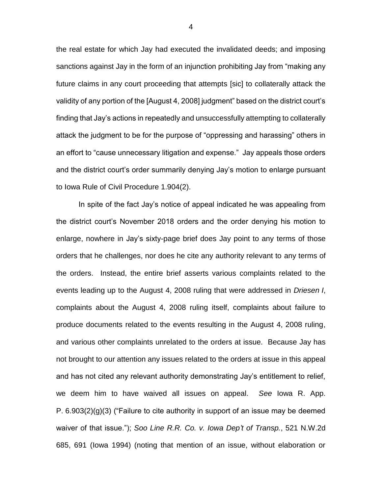the real estate for which Jay had executed the invalidated deeds; and imposing sanctions against Jay in the form of an injunction prohibiting Jay from "making any future claims in any court proceeding that attempts [sic] to collaterally attack the validity of any portion of the [August 4, 2008] judgment" based on the district court's finding that Jay's actions in repeatedly and unsuccessfully attempting to collaterally attack the judgment to be for the purpose of "oppressing and harassing" others in an effort to "cause unnecessary litigation and expense." Jay appeals those orders and the district court's order summarily denying Jay's motion to enlarge pursuant to Iowa Rule of Civil Procedure 1.904(2).

In spite of the fact Jay's notice of appeal indicated he was appealing from the district court's November 2018 orders and the order denying his motion to enlarge, nowhere in Jay's sixty-page brief does Jay point to any terms of those orders that he challenges, nor does he cite any authority relevant to any terms of the orders. Instead, the entire brief asserts various complaints related to the events leading up to the August 4, 2008 ruling that were addressed in *Driesen I*, complaints about the August 4, 2008 ruling itself, complaints about failure to produce documents related to the events resulting in the August 4, 2008 ruling, and various other complaints unrelated to the orders at issue. Because Jay has not brought to our attention any issues related to the orders at issue in this appeal and has not cited any relevant authority demonstrating Jay's entitlement to relief, we deem him to have waived all issues on appeal. *See* Iowa R. App. P.  $6.903(2)(q)(3)$  ("Failure to cite authority in support of an issue may be deemed waiver of that issue."); *Soo Line R.R. Co. v. Iowa Dep't of Transp.*, 521 N.W.2d 685, 691 (Iowa 1994) (noting that mention of an issue, without elaboration or